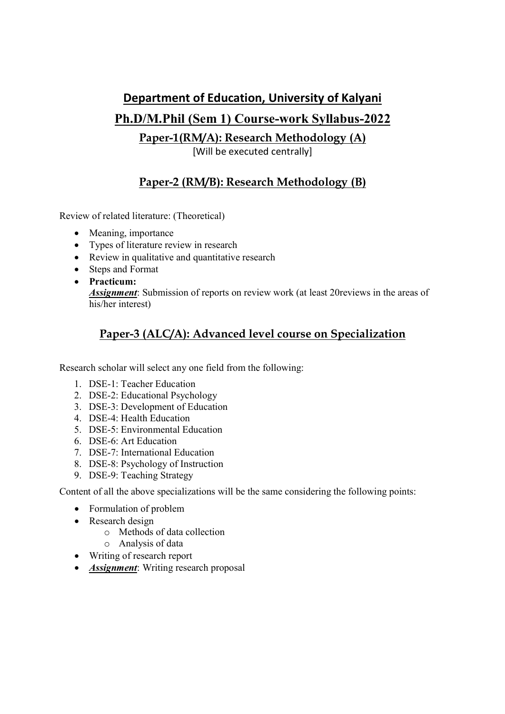#### Department of Education, University of Kalyani

# Ph.D/M.Phil (Sem 1) Course-work Syllabus-2022

Paper-1(RM/A): Research Methodology (A)

[Will be executed centrally]

### Paper-2 (RM/B): Research Methodology (B)

Review of related literature: (Theoretical)

- Meaning, importance
- Types of literature review in research
- Review in qualitative and quantitative research
- Steps and Format
- Practicum: Assignment: Submission of reports on review work (at least 20reviews in the areas of his/her interest)

# Paper-3 (ALC/A): Advanced level course on Specialization

Research scholar will select any one field from the following:

- 1. DSE-1: Teacher Education
- 2. DSE-2: Educational Psychology
- 3. DSE-3: Development of Education
- 4. DSE-4: Health Education
- 5. DSE-5: Environmental Education
- 6. DSE-6: Art Education
- 7. DSE-7: International Education
- 8. DSE-8: Psychology of Instruction
- 9. DSE-9: Teaching Strategy

Content of all the above specializations will be the same considering the following points:

- Formulation of problem
- Research design
	- o Methods of data collection
	- o Analysis of data
- Writing of research report
- **Assignment:** Writing research proposal